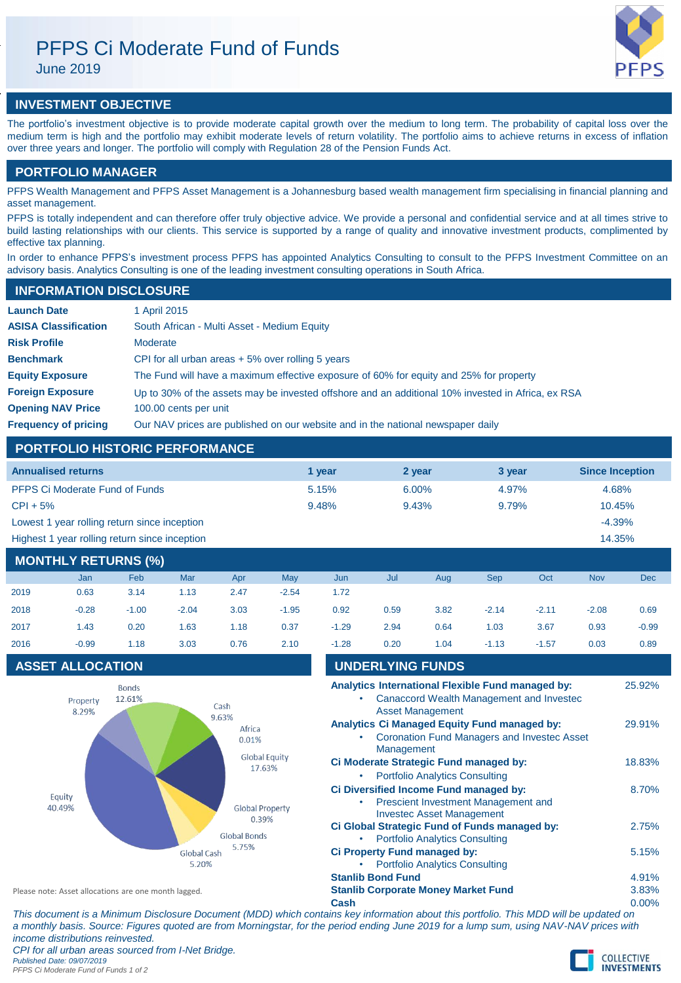# PFPS Ci Moderate Fund of Funds

June 2019



# **INVESTMENT OBJECTIVE**

The portfolio's investment objective is to provide moderate capital growth over the medium to long term. The probability of capital loss over the medium term is high and the portfolio may exhibit moderate levels of return volatility. The portfolio aims to achieve returns in excess of inflation over three years and longer. The portfolio will comply with Regulation 28 of the Pension Funds Act.

## **PORTFOLIO MANAGER**

PFPS Wealth Management and PFPS Asset Management is a Johannesburg based wealth management firm specialising in financial planning and asset management.

PFPS is totally independent and can therefore offer truly objective advice. We provide a personal and confidential service and at all times strive to build lasting relationships with our clients. This service is supported by a range of quality and innovative investment products, complimented by effective tax planning.

In order to enhance PFPS's investment process PFPS has appointed Analytics Consulting to consult to the PFPS Investment Committee on an advisory basis. Analytics Consulting is one of the leading investment consulting operations in South Africa.

| <b>INFORMATION DISCLOSURE</b> |                                                                                                   |
|-------------------------------|---------------------------------------------------------------------------------------------------|
| <b>Launch Date</b>            | 1 April 2015                                                                                      |
| <b>ASISA Classification</b>   | South African - Multi Asset - Medium Equity                                                       |
| <b>Risk Profile</b>           | Moderate                                                                                          |
| <b>Benchmark</b>              | CPI for all urban areas $+5\%$ over rolling 5 years                                               |
| <b>Equity Exposure</b>        | The Fund will have a maximum effective exposure of 60% for equity and 25% for property            |
| <b>Foreign Exposure</b>       | Up to 30% of the assets may be invested offshore and an additional 10% invested in Africa, ex RSA |
| <b>Opening NAV Price</b>      | 100.00 cents per unit                                                                             |
| <b>Frequency of pricing</b>   | Our NAV prices are published on our website and in the national newspaper daily                   |

## **PORTFOLIO HISTORIC PERFORMANCE**

| <b>Annualised returns</b>                     | 1 year | 2 year | 3 year | <b>Since Inception</b> |
|-----------------------------------------------|--------|--------|--------|------------------------|
| <b>PFPS Ci Moderate Fund of Funds</b>         | 5.15%  | 6.00%  | 4.97%  | 4.68%                  |
| $CPI + 5%$                                    | 9.48%  | 9.43%  | 9.79%  | 10.45%                 |
| Lowest 1 year rolling return since inception  |        |        |        | $-4.39%$               |
| Highest 1 year rolling return since inception |        |        |        | 14.35%                 |

# **MONTHLY RETURNS (%)**

|      | Jan     | <b>Feb</b> | Mar     | Apr  | May     | Jun     | Jul  | Aug  | <b>Sep</b> | Oct     | <b>Nov</b> | <b>Dec</b> |
|------|---------|------------|---------|------|---------|---------|------|------|------------|---------|------------|------------|
| 2019 | 0.63    | 3.14       | 1.13    | 2.47 | $-2.54$ | 1.72    |      |      |            |         |            |            |
| 2018 | $-0.28$ | $-1.00$    | $-2.04$ | 3.03 | $-1.95$ | 0.92    | 0.59 | 3.82 | $-2.14$    | $-2.11$ | $-2.08$    | 0.69       |
| 2017 | 1.43    | 0.20       | 1.63    | 1.18 | 0.37    | $-1.29$ | 2.94 | 0.64 | 1.03       | 3.67    | 0.93       | $-0.99$    |
| 2016 | $-0.99$ | 1.18       | 3.03    | 0.76 | 2.10    | $-1.28$ | 0.20 | 1.04 | $-1.13$    | $-1.57$ | 0.03       | 0.89       |
|      |         |            |         |      |         |         |      |      |            |         |            |            |

# **ASSET ALLOCATION**



| 2016                                                 | $-0.99$                 | 1.18                            | 3.03                           | 0.76                     | 2.10 | $-1.28$                                    | 0.20                                                                          | 1.04                                  | $-1.13$                                             | $-1.57$                                                                                       | 0.03  | 0.89   |
|------------------------------------------------------|-------------------------|---------------------------------|--------------------------------|--------------------------|------|--------------------------------------------|-------------------------------------------------------------------------------|---------------------------------------|-----------------------------------------------------|-----------------------------------------------------------------------------------------------|-------|--------|
|                                                      | <b>ASSET ALLOCATION</b> |                                 |                                |                          |      |                                            | <b>UNDERLYING FUNDS</b>                                                       |                                       |                                                     |                                                                                               |       |        |
|                                                      | Property<br>8.29%       | <b>Bonds</b><br>12.61%          |                                | Cash                     |      |                                            |                                                                               | <b>Asset Management</b>               |                                                     | Analytics International Flexible Fund managed by:<br>Canaccord Wealth Management and Invested |       | 25.92% |
|                                                      |                         |                                 |                                | 9.63%<br>Africa<br>0.01% |      |                                            | Management                                                                    |                                       | <b>Analytics Ci Managed Equity Fund managed by:</b> | Coronation Fund Managers and Invested Asset                                                   |       | 29.91% |
|                                                      |                         |                                 | <b>Global Equity</b><br>17.63% |                          |      | <b>Portfolio Analytics Consulting</b>      | Ci Moderate Strategic Fund managed by:                                        |                                       |                                                     | 18.83%                                                                                        |       |        |
| Equity<br>40.49%                                     |                         | <b>Global Property</b><br>0.39% |                                |                          |      | <b>Investec Asset Management</b>           | Ci Diversified Income Fund managed by:<br>Prescient Investment Management and |                                       |                                                     | 8.70%                                                                                         |       |        |
|                                                      |                         |                                 |                                | Global Bonds             |      |                                            |                                                                               | <b>Portfolio Analytics Consulting</b> | Ci Global Strategic Fund of Funds managed by:       |                                                                                               |       | 2.75%  |
|                                                      |                         |                                 | Global Cash<br>5.20%           | 5.75%                    |      |                                            | Ci Property Fund managed by:                                                  | <b>Portfolio Analytics Consulting</b> |                                                     |                                                                                               |       | 5.15%  |
|                                                      |                         |                                 |                                |                          |      |                                            | <b>Stanlib Bond Fund</b>                                                      |                                       |                                                     |                                                                                               |       | 4.91%  |
| Please note: Asset allocations are one month lagged. |                         |                                 |                                |                          |      | <b>Stanlib Corporate Money Market Fund</b> |                                                                               |                                       |                                                     |                                                                                               | 3.83% |        |
|                                                      |                         |                                 |                                |                          |      | Cash                                       |                                                                               |                                       |                                                     |                                                                                               |       | 0.00%  |

*This document is a Minimum Disclosure Document (MDD) which contains key information about this portfolio. This MDD will be updated on a monthly basis. Source: Figures quoted are from Morningstar, for the period ending June 2019 for a lump sum, using NAV-NAV prices with income distributions reinvested. CPI for all urban areas sourced from I-Net Bridge.*

*Published Date: 09/07/2019 PFPS Ci Moderate Fund of Funds 1 of 2*